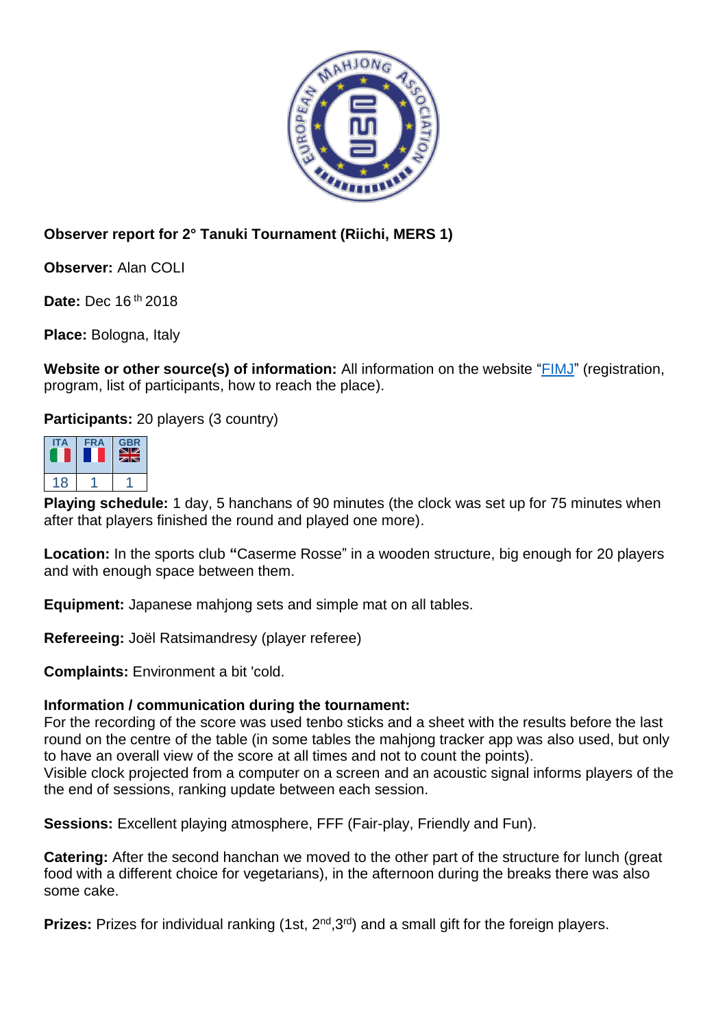

## **Observer report for 2° Tanuki Tournament (Riichi, MERS 1)**

**Observer:** Alan COLI

**Date:** Dec 16 th 2018

**Place:** Bologna, Italy

**Website or other source(s) of information:** All information on the website ["FIMJ"](http://www.fimj.it/?page_id=6589) (registration, program, list of participants, how to reach the place).

**Participants:** 20 players (3 country)



**Playing schedule:** 1 day, 5 hanchans of 90 minutes (the clock was set up for 75 minutes when after that players finished the round and played one more).

**Location:** In the sports club **"**Caserme Rosse" in a wooden structure, big enough for 20 players and with enough space between them.

**Equipment:** Japanese mahjong sets and simple mat on all tables.

**Refereeing:** Joël Ratsimandresy (player referee)

**Complaints:** Environment a bit 'cold.

## **Information / communication during the tournament:**

For the recording of the score was used tenbo sticks and a sheet with the results before the last round on the centre of the table (in some tables the mahjong tracker app was also used, but only to have an overall view of the score at all times and not to count the points).

Visible clock projected from a computer on a screen and an acoustic signal informs players of the the end of sessions, ranking update between each session.

**Sessions:** Excellent playing atmosphere, FFF (Fair-play, Friendly and Fun).

**Catering:** After the second hanchan we moved to the other part of the structure for lunch (great food with a different choice for vegetarians), in the afternoon during the breaks there was also some cake.

Prizes: Prizes for individual ranking (1st, 2<sup>nd</sup>, 3<sup>rd</sup>) and a small gift for the foreign players.